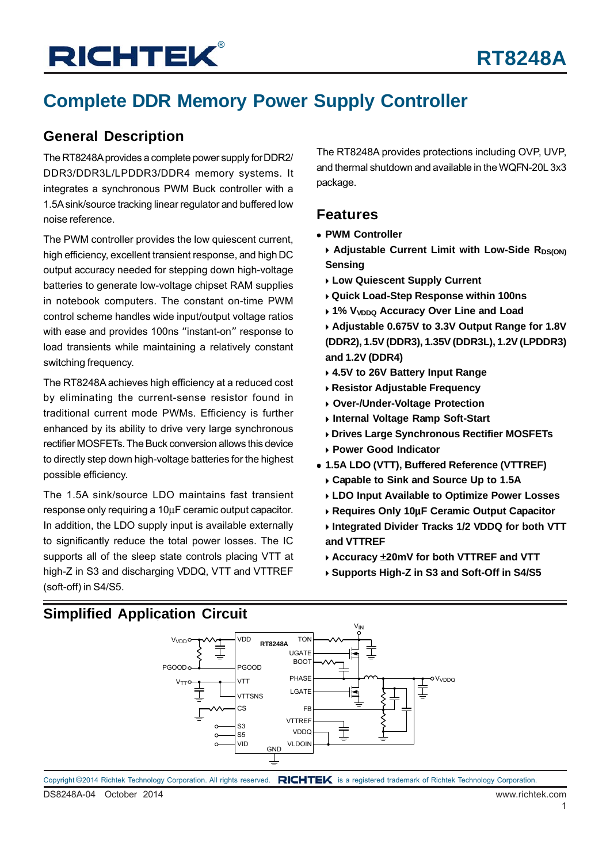## **Complete DDR Memory Power Supply Controller**

### **General Description**

The RT8248A provides a complete power supply for DDR2/ DDR3/DDR3L/LPDDR3/DDR4 memory systems. It integrates a synchronous PWM Buck controller with a 1.5A sink/source tracking linear regulator and buffered low noise reference.

The PWM controller provides the low quiescent current, high efficiency, excellent transient response, and high DC output accuracy needed for stepping down high-voltage batteries to generate low-voltage chipset RAM supplies in notebook computers. The constant on-time PWM control scheme handles wide input/output voltage ratios with ease and provides 100ns "instant-on" response to load transients while maintaining a relatively constant switching frequency.

The RT8248A achieves high efficiency at a reduced cost by eliminating the current-sense resistor found in traditional current mode PWMs. Efficiency is further enhanced by its ability to drive very large synchronous rectifier MOSFETs. The Buck conversion allows this device to directly step down high-voltage batteries for the highest possible efficiency.

The 1.5A sink/source LDO maintains fast transient response only requiring a 10μF ceramic output capacitor. In addition, the LDO supply input is available externally to significantly reduce the total power losses. The IC supports all of the sleep state controls placing VTT at high-Z in S3 and discharging VDDQ, VTT and VTTREF (soft-off) in S4/S5.

The RT8248A provides protections including OVP, UVP, and thermal shutdown and available in the WQFN-20L 3x3 package.

### **Features**

- **PWM Controller**
	- **Adjustable Current Limit with Low-Side RDS(ON) Sensing**
	- **Low Quiescent Supply Current**
	- **Quick Load-Step Response within 100ns**
	- **1% V<sub>VDDQ</sub> Accuracy Over Line and Load**
	- **Adjustable 0.675V to 3.3V Output Range for 1.8V (DDR2), 1.5V (DDR3), 1.35V (DDR3L), 1.2V (LPDDR3) and 1.2V (DDR4)**
	- **4.5V to 26V Battery Input Range**
	- **Resistor Adjustable Frequency**
	- **Over-/Under-Voltage Protection**
	- **Internal Voltage Ramp Soft-Start**
	- **Drives Large Synchronous Rectifier MOSFETs Power Good Indicator**
- **1.5A LDO (VTT), Buffered Reference (VTTREF)**
	- **Capable to Sink and Source Up to 1.5A**
	- **LDO Input Available to Optimize Power Losses**
	- **Requires Only 10**μ**F Ceramic Output Capacitor**
	- **Integrated Divider Tracks 1/2 VDDQ for both VTT and VTTREF**
	- **Accuracy** ±**20mV for both VTTREF and VTT**
	- **Supports High-Z in S3 and Soft-Off in S4/S5**

### **Simplified Application Circuit**

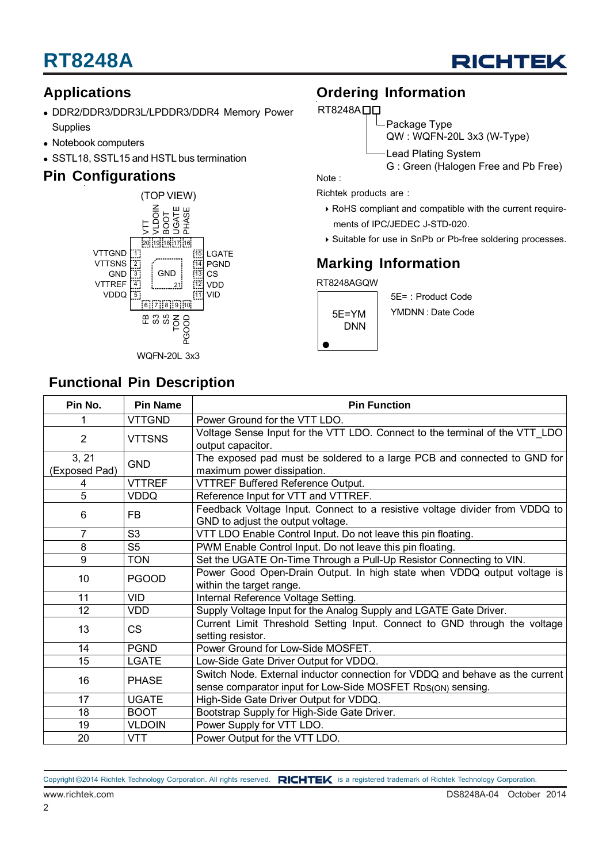

### **Applications**

- DDR2/DDR3/DDR3L/LPDDR3/DDR4 Memory Power **Supplies**
- Notebook computers
- SSTL18, SSTL15 and HSTL bus termination

### **Pin Configurations**



### **Functional Pin Description**

### **Ordering Information**

#### RT8248A<sub>D</sub>

Package Type

QW : WQFN-20L 3x3 (W-Type)

Lead Plating System

G : Green (Halogen Free and Pb Free)

Note :

Richtek products are :

- RoHS compliant and compatible with the current require ments of IPC/JEDEC J-STD-020.
- ▶ Suitable for use in SnPb or Pb-free soldering processes.

## **Marking Information**

RT8248AGQW



5E= : Product Code YMDNN : Date Code

| Pin No.                | <b>Pin Name</b> | <b>Pin Function</b>                                                                                                                         |  |  |  |
|------------------------|-----------------|---------------------------------------------------------------------------------------------------------------------------------------------|--|--|--|
|                        | <b>VTTGND</b>   | Power Ground for the VTT LDO.                                                                                                               |  |  |  |
| $\overline{2}$         | <b>VTTSNS</b>   | Voltage Sense Input for the VTT LDO. Connect to the terminal of the VTT LDO<br>output capacitor.                                            |  |  |  |
| 3, 21<br>(Exposed Pad) | <b>GND</b>      | The exposed pad must be soldered to a large PCB and connected to GND for<br>maximum power dissipation.                                      |  |  |  |
| 4                      | <b>VTTREF</b>   | VTTREF Buffered Reference Output.                                                                                                           |  |  |  |
| 5                      | <b>VDDQ</b>     | Reference Input for VTT and VTTREF.                                                                                                         |  |  |  |
| 6                      | <b>FB</b>       | Feedback Voltage Input. Connect to a resistive voltage divider from VDDQ to<br>GND to adjust the output voltage.                            |  |  |  |
| $\overline{7}$         | S <sub>3</sub>  | VTT LDO Enable Control Input. Do not leave this pin floating.                                                                               |  |  |  |
| 8                      | S <sub>5</sub>  | PWM Enable Control Input. Do not leave this pin floating.                                                                                   |  |  |  |
| 9                      | <b>TON</b>      | Set the UGATE On-Time Through a Pull-Up Resistor Connecting to VIN.                                                                         |  |  |  |
| 10                     | <b>PGOOD</b>    | Power Good Open-Drain Output. In high state when VDDQ output voltage is<br>within the target range.                                         |  |  |  |
| 11                     | <b>VID</b>      | Internal Reference Voltage Setting.                                                                                                         |  |  |  |
| 12                     | <b>VDD</b>      | Supply Voltage Input for the Analog Supply and LGATE Gate Driver.                                                                           |  |  |  |
| 13                     | <b>CS</b>       | Current Limit Threshold Setting Input. Connect to GND through the voltage<br>setting resistor.                                              |  |  |  |
| 14                     | <b>PGND</b>     | Power Ground for Low-Side MOSFET.                                                                                                           |  |  |  |
| 15                     | <b>LGATE</b>    | Low-Side Gate Driver Output for VDDQ.                                                                                                       |  |  |  |
| 16                     | <b>PHASE</b>    | Switch Node. External inductor connection for VDDQ and behave as the current<br>sense comparator input for Low-Side MOSFET RDS(ON) sensing. |  |  |  |
| 17                     | <b>UGATE</b>    | High-Side Gate Driver Output for VDDQ.                                                                                                      |  |  |  |
| 18                     | <b>BOOT</b>     | Bootstrap Supply for High-Side Gate Driver.                                                                                                 |  |  |  |
| 19                     | <b>VLDOIN</b>   | Power Supply for VTT LDO.                                                                                                                   |  |  |  |
| 20                     | <b>VTT</b>      | Power Output for the VTT LDO.                                                                                                               |  |  |  |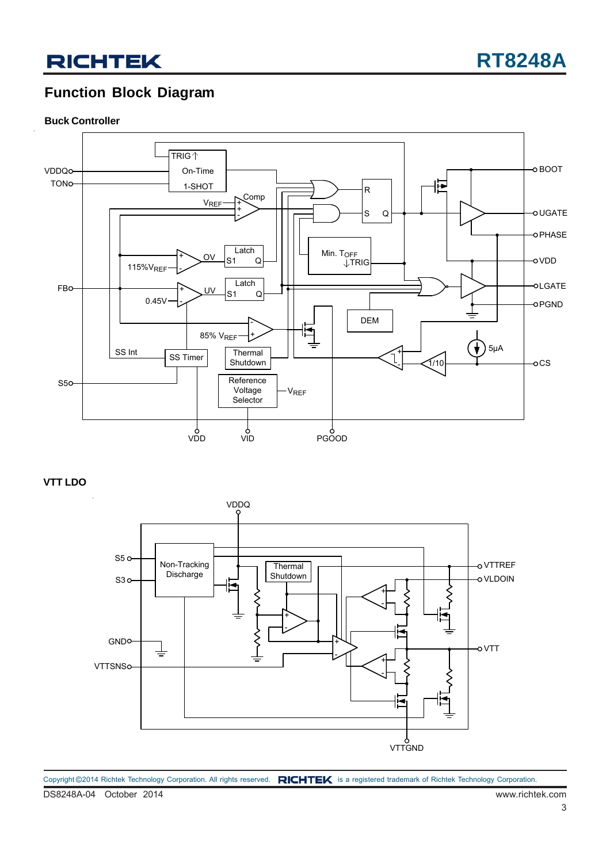### **Function Block Diagram**

#### **Buck Controller**



**VTT LDO**



DS8248A-04 October 2014 www.richtek.com Copyright ©2014 Richtek Technology Corporation. All rights reserved. RICHTEK is a registered trademark of Richtek Technology Corporation.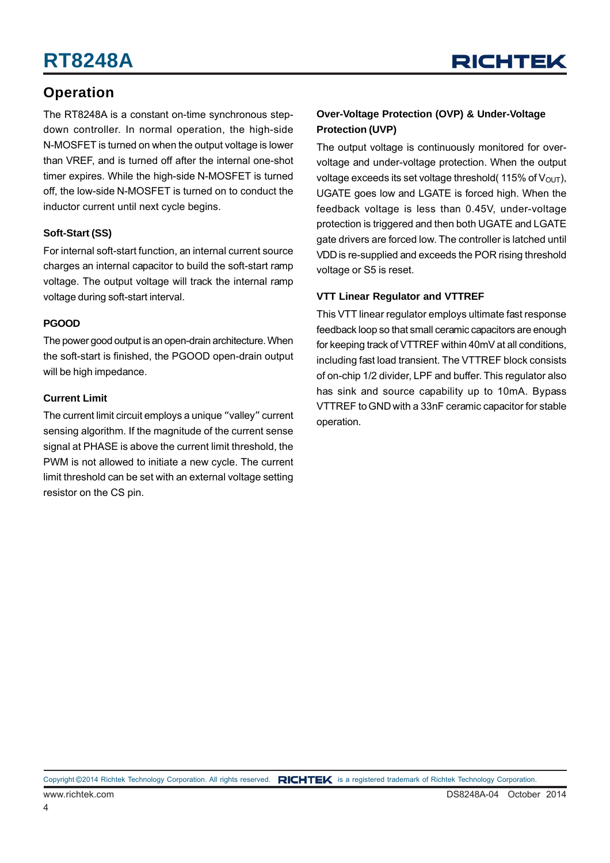

### **Operation**

The RT8248A is a constant on-time synchronous stepdown controller. In normal operation, the high-side N-MOSFET is turned on when the output voltage is lower than VREF, and is turned off after the internal one-shot timer expires. While the high-side N-MOSFET is turned off, the low-side N-MOSFET is turned on to conduct the inductor current until next cycle begins.

#### **Soft-Start (SS)**

For internal soft-start function, an internal current source charges an internal capacitor to build the soft-start ramp voltage. The output voltage will track the internal ramp voltage during soft-start interval.

#### **PGOOD**

The power good output is an open-drain architecture. When the soft-start is finished, the PGOOD open-drain output will be high impedance.

#### **Current Limit**

The current limit circuit employs a unique "valley" current sensing algorithm. If the magnitude of the current sense signal at PHASE is above the current limit threshold, the PWM is not allowed to initiate a new cycle. The current limit threshold can be set with an external voltage setting resistor on the CS pin.

#### **Over-Voltage Protection (OVP) & Under-Voltage Protection (UVP)**

The output voltage is continuously monitored for overvoltage and under-voltage protection. When the output voltage exceeds its set voltage threshold( $115\%$  of  $V_{\text{OUT}}$ ). UGATE goes low and LGATE is forced high. When the feedback voltage is less than 0.45V, under-voltage protection is triggered and then both UGATE and LGATE gate drivers are forced low. The controller is latched until VDD is re-supplied and exceeds the POR rising threshold voltage or S5 is reset.

#### **VTT Linear Regulator and VTTREF**

This VTT linear regulator employs ultimate fast response feedback loop so that small ceramic capacitors are enough for keeping track of VTTREF within 40mV at all conditions, including fast load transient. The VTTREF block consists of on-chip 1/2 divider, LPF and buffer. This regulator also has sink and source capability up to 10mA. Bypass VTTREF to GND with a 33nF ceramic capacitor for stable operation.

Copyright ©2014 Richtek Technology Corporation. All rights reserved. RICHTEK is a registered trademark of Richtek Technology Corporation.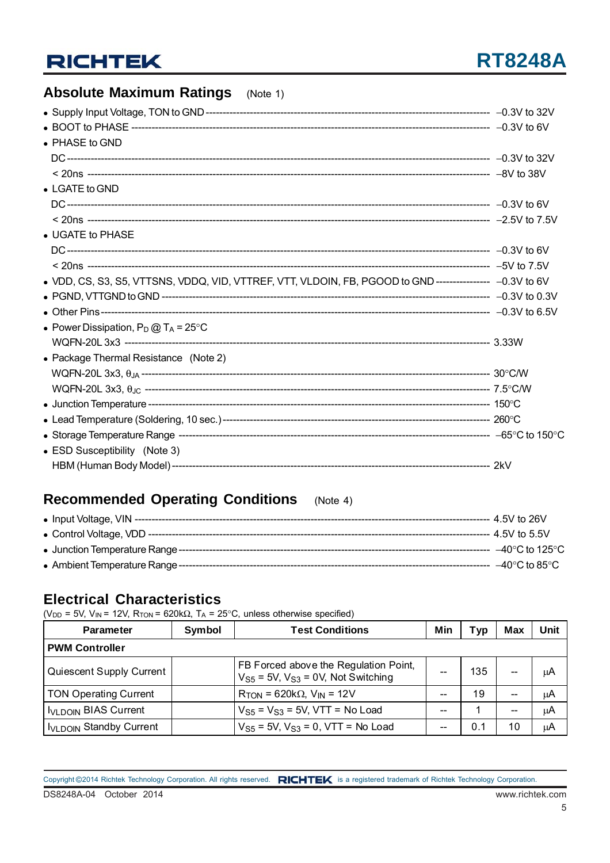## **RT8248A**

### **Absolute Maximum Ratings** (Note 1)

| • PHASE to GND                                                                                           |  |
|----------------------------------------------------------------------------------------------------------|--|
|                                                                                                          |  |
|                                                                                                          |  |
| $\bullet$ LGATE to GND                                                                                   |  |
|                                                                                                          |  |
|                                                                                                          |  |
| • UGATE to PHASE                                                                                         |  |
|                                                                                                          |  |
|                                                                                                          |  |
| . VDD, CS, S3, S5, VTTSNS, VDDQ, VID, VTTREF, VTT, VLDOIN, FB, PGOOD to GND ---------------- -0.3V to 6V |  |
|                                                                                                          |  |
|                                                                                                          |  |
| • Power Dissipation, $P_D @ T_A = 25^{\circ}C$                                                           |  |
|                                                                                                          |  |
| • Package Thermal Resistance (Note 2)                                                                    |  |
|                                                                                                          |  |
|                                                                                                          |  |
|                                                                                                          |  |
|                                                                                                          |  |
|                                                                                                          |  |
| • ESD Susceptibility (Note 3)                                                                            |  |
|                                                                                                          |  |
|                                                                                                          |  |

### **Recommended Operating Conditions** (Note 4)

| –40°C to 125°C $\,$                     |
|-----------------------------------------|
| $-40^{\circ}$ C to 85 $^{\circ}$ C $\,$ |

### **Electrical Characteristics**

(V<sub>DD</sub> = 5V, V<sub>IN</sub> = 12V, R<sub>TON</sub> = 620k $\Omega$ , T<sub>A</sub> = 25°C, unless otherwise specified)

| <b>Parameter</b>                    | Symbol | <b>Test Conditions</b>                                                           | Min | Typ | Max                      | Unit |
|-------------------------------------|--------|----------------------------------------------------------------------------------|-----|-----|--------------------------|------|
| <b>PWM Controller</b>               |        |                                                                                  |     |     |                          |      |
| Quiescent Supply Current            |        | FB Forced above the Regulation Point,<br>$VS5 = 5V$ , $VS3 = 0V$ , Not Switching |     | 135 |                          | μA   |
| <b>TON Operating Current</b>        |        | $R_{TON}$ = 620k $\Omega$ , $V_{IN}$ = 12V                                       |     | 19  | $\overline{\phantom{m}}$ | μA   |
| <b>IVLDOIN BIAS Current</b>         |        | $VS5 = VS3 = 5V$ , VTT = No Load                                                 |     |     | --                       | μA   |
| I <sub>VLDOIN</sub> Standby Current |        | $V_{S5}$ = 5V, $V_{S3}$ = 0, VTT = No Load                                       |     | 0.1 | 10                       | μA   |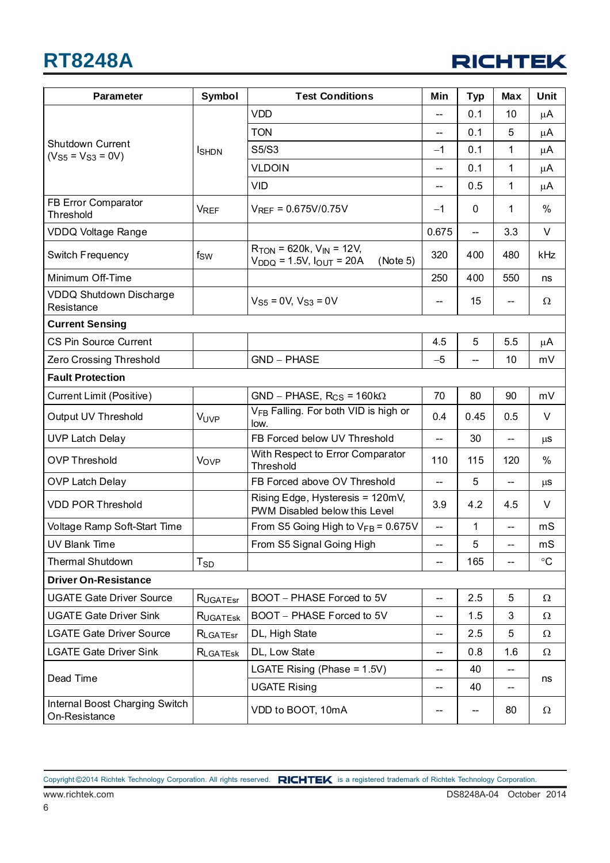

| <b>Parameter</b>                                | Symbol        | <b>Test Conditions</b>                                                             | Min                      | <b>Typ</b> | Max                      | <b>Unit</b> |
|-------------------------------------------------|---------------|------------------------------------------------------------------------------------|--------------------------|------------|--------------------------|-------------|
|                                                 |               | <b>VDD</b>                                                                         | --                       | 0.1        | 10                       | μA          |
|                                                 |               | <b>TON</b>                                                                         | --                       | 0.1        | 5                        | $\mu$ A     |
| <b>Shutdown Current</b><br>$(VS5 = VS3 = 0V)$   | <b>I</b> SHDN | S5/S3                                                                              | $-1$                     | 0.1        | 1                        | μA          |
|                                                 |               | <b>VLDOIN</b>                                                                      | --                       | 0.1        | 1                        | μA          |
|                                                 |               | <b>VID</b>                                                                         |                          | 0.5        | $\mathbf{1}$             | μA          |
| FB Error Comparator<br>Threshold                | <b>VREF</b>   | $V_{REF} = 0.675V/0.75V$                                                           | $-1$                     | 0          | 1                        | %           |
| <b>VDDQ Voltage Range</b>                       |               |                                                                                    | 0.675                    | --         | 3.3                      | V           |
| Switch Frequency                                | fsw           | $R_{TON}$ = 620k, $V_{IN}$ = 12V,<br>$V_{DDQ}$ = 1.5V, $I_{OUT}$ = 20A<br>(Note 5) | 320                      | 400        | 480                      | kHz         |
| Minimum Off-Time                                |               |                                                                                    | 250                      | 400        | 550                      | ns          |
| <b>VDDQ Shutdown Discharge</b><br>Resistance    |               | $V_{S5} = 0V$ , $V_{S3} = 0V$                                                      | --                       | 15         |                          | Ω           |
| <b>Current Sensing</b>                          |               |                                                                                    |                          |            |                          |             |
| CS Pin Source Current                           |               |                                                                                    | 4.5                      | 5          | 5.5                      | μA          |
| Zero Crossing Threshold                         |               | <b>GND - PHASE</b>                                                                 | $-5$                     |            | 10                       | mV          |
| <b>Fault Protection</b>                         |               |                                                                                    |                          |            |                          |             |
| <b>Current Limit (Positive)</b>                 |               | $GND - PHASE, R_{CS} = 160k\Omega$                                                 | 70                       | 80         | 90                       | mV          |
| Output UV Threshold                             | VUVP          | V <sub>FB</sub> Falling. For both VID is high or<br>low.                           | 0.4                      | 0.45       | 0.5                      | V           |
| <b>UVP Latch Delay</b>                          |               | FB Forced below UV Threshold                                                       | --                       | 30         | $\overline{\phantom{a}}$ | $\mu$ s     |
| <b>OVP Threshold</b>                            | Vovp          | With Respect to Error Comparator<br>Threshold                                      | 110                      | 115        | 120                      | %           |
| <b>OVP Latch Delay</b>                          |               | FB Forced above OV Threshold                                                       | --                       | 5          | --                       | $\mu$ s     |
| <b>VDD POR Threshold</b>                        |               | Rising Edge, Hysteresis = 120mV,<br>PWM Disabled below this Level                  | 3.9                      | 4.2        | 4.5                      | V           |
| Voltage Ramp Soft-Start Time                    |               | From S5 Going High to $V_{FB}$ = 0.675V                                            | $\overline{\phantom{a}}$ | 1          | $\overline{\phantom{a}}$ | mS          |
| <b>UV Blank Time</b>                            |               | From S5 Signal Going High                                                          | --                       | 5          | $-\!$ $\!-$              | mS          |
| <b>Thermal Shutdown</b>                         | $T_{SD}$      |                                                                                    | --                       | 165        |                          | $^{\circ}C$ |
| <b>Driver On-Resistance</b>                     |               |                                                                                    |                          |            |                          |             |
| <b>UGATE Gate Driver Source</b>                 | RUGATEST      | BOOT - PHASE Forced to 5V                                                          | --                       | 2.5        | 5                        | Ω           |
| <b>UGATE Gate Driver Sink</b>                   | RUGATESK      | BOOT - PHASE Forced to 5V                                                          | --                       | 1.5        | 3                        | $\Omega$    |
| <b>LGATE Gate Driver Source</b>                 | RLGATEST      | DL, High State                                                                     | --                       | 2.5        | 5                        | Ω           |
| <b>LGATE Gate Driver Sink</b>                   | RLGATESK      | DL, Low State                                                                      | --                       | 0.8        | 1.6                      | Ω           |
| Dead Time                                       |               | LGATE Rising (Phase = 1.5V)                                                        | --                       | 40         | $\overline{\phantom{a}}$ | ns          |
|                                                 |               | <b>UGATE Rising</b>                                                                | --                       | 40         |                          |             |
| Internal Boost Charging Switch<br>On-Resistance |               | VDD to BOOT, 10mA                                                                  | --                       | --         | 80                       | Ω           |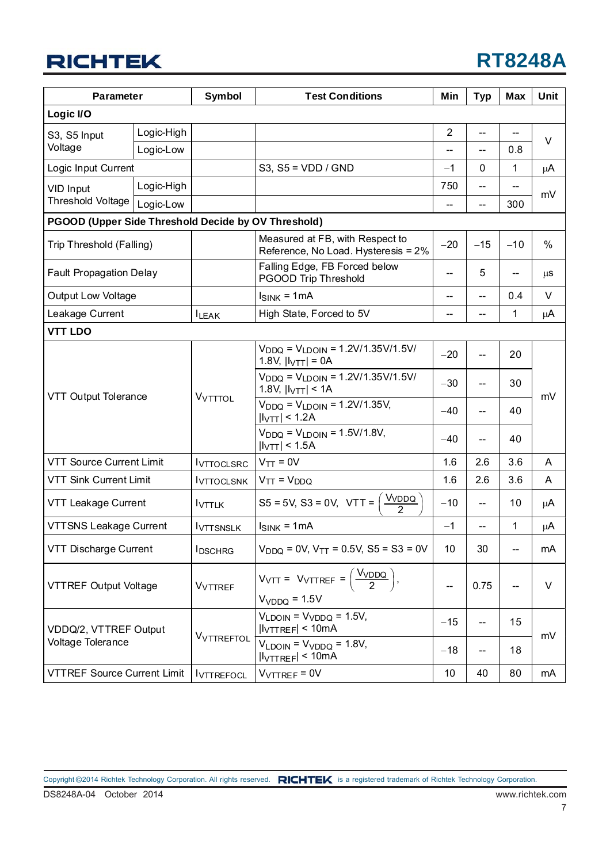## **RT8248A**

| <b>Parameter</b>                   |                                                     | <b>Symbol</b>     | <b>Test Conditions</b>                                                                           |                          | <b>Typ</b> | <b>Max</b>        | Unit   |  |
|------------------------------------|-----------------------------------------------------|-------------------|--------------------------------------------------------------------------------------------------|--------------------------|------------|-------------------|--------|--|
| Logic I/O                          |                                                     |                   |                                                                                                  |                          |            |                   |        |  |
| S3, S5 Input                       | Logic-High                                          |                   |                                                                                                  | $\overline{2}$           |            |                   |        |  |
| Voltage                            | Logic-Low                                           |                   |                                                                                                  | --                       | --         | 0.8               | $\vee$ |  |
| Logic Input Current                |                                                     |                   | S3, $S5 = VDD / GND$                                                                             | $-1$<br>0                |            | 1                 | μA     |  |
| VID Input                          | Logic-High                                          |                   |                                                                                                  | 750                      | $-$        | --                |        |  |
| Threshold Voltage                  | Logic-Low                                           |                   |                                                                                                  | $\overline{\phantom{a}}$ | $-$        | 300               | mV     |  |
|                                    | PGOOD (Upper Side Threshold Decide by OV Threshold) |                   |                                                                                                  |                          |            |                   |        |  |
| Trip Threshold (Falling)           |                                                     |                   | Measured at FB, with Respect to<br>Reference, No Load. Hysteresis = 2%                           |                          | $-15$      | $-10$             | %      |  |
| <b>Fault Propagation Delay</b>     |                                                     |                   | Falling Edge, FB Forced below<br>PGOOD Trip Threshold                                            | --                       | 5          | --                | μS     |  |
| <b>Output Low Voltage</b>          |                                                     |                   | $I_{SINK} = 1mA$                                                                                 | --                       | --         | 0.4               | $\vee$ |  |
| Leakage Current                    |                                                     | <b>ILEAK</b>      | High State, Forced to 5V                                                                         | --                       | --         | 1                 | μA     |  |
| <b>VTT LDO</b>                     |                                                     |                   |                                                                                                  |                          |            |                   |        |  |
|                                    |                                                     | VVTTTOL           | $V_{DDQ}$ = $V_{LDOIN}$ = 1.2V/1.35V/1.5V/<br>1.8V, $ I_{\text{VTT}}  = 0A$                      | $-20$                    | --         | 20                | mV     |  |
|                                    |                                                     |                   | $V_{DDQ} = V_{LDOIN} = 1.2V/1.35V/1.5V/$<br>1.8V, $ I_{\text{VTT}} $ < 1A                        | $-30$                    | --         | 30                |        |  |
|                                    | VTT Output Tolerance                                |                   | $V_{DDQ} = V_{LDOIN} = 1.2V/1.35V,$<br>$ I_{\text{VTT}} $ < 1.2A                                 | $-40$                    | --         | 40                |        |  |
|                                    |                                                     |                   | $V_{DDO} = V_{LDOIN} = 1.5V/1.8V,$<br> I <sub>VTT</sub>   < 1.5A                                 | $-40$                    |            | 40                |        |  |
| <b>VTT Source Current Limit</b>    |                                                     | <b>IVTTOCLSRC</b> | $V_{TT} = 0V$                                                                                    | 1.6                      | 2.6        | 3.6               | A      |  |
| <b>VTT Sink Current Limit</b>      |                                                     | <b>IVTTOCLSNK</b> | $V_{TT} = V_{DDQ}$                                                                               |                          | 2.6        | 3.6               | A      |  |
| <b>VTT Leakage Current</b>         |                                                     | <b>IVTTLK</b>     | <b>VVDDQ</b><br>$S5 = 5V$ , $S3 = 0V$ , $VTT =$<br>2                                             |                          | --         | 10                | μA     |  |
| <b>VTTSNS Leakage Current</b>      |                                                     | <b>IVTTSNSLK</b>  | $I_{SINK} = 1mA$                                                                                 |                          |            | $\mathbf{1}$      | μA     |  |
| VTT Discharge Current              |                                                     | <b>IDSCHRG</b>    | $V_{DDQ} = 0V$ , $V_{TT} = 0.5V$ , $S5 = S3 = 0V$                                                |                          | 30         | $\qquad \qquad -$ | mA     |  |
| VTTREF Output Voltage              |                                                     | VVTTREF           | $V_{\text{VTT}} = V_{\text{VTTREF}} = \left(\frac{V_{\text{VDDQ}}}{2}\right),$<br>$VVDDQ = 1.5V$ |                          | 0.75       | --                | V      |  |
| VDDQ/2, VTTREF Output              |                                                     |                   | $V_{LDOIN} = V_{VDDQ} = 1.5V$ ,<br> I <sub>VTIREF</sub>   < 10mA                                 | $-15$                    | --         | 15                |        |  |
| Voltage Tolerance                  |                                                     | <b>VVTTREFTOL</b> | $V_{LDOIN} = V_{VDDQ} = 1.8V$ ,<br>$ I_{\text{VITREF}}  < 10 \text{mA}$                          | $-18$                    |            | 18                | mV     |  |
| <b>VTTREF Source Current Limit</b> |                                                     | <b>IVTTREFOCL</b> | $V_{\text{VITER}} = 0V$                                                                          | 10                       | 40         | 80                | mA     |  |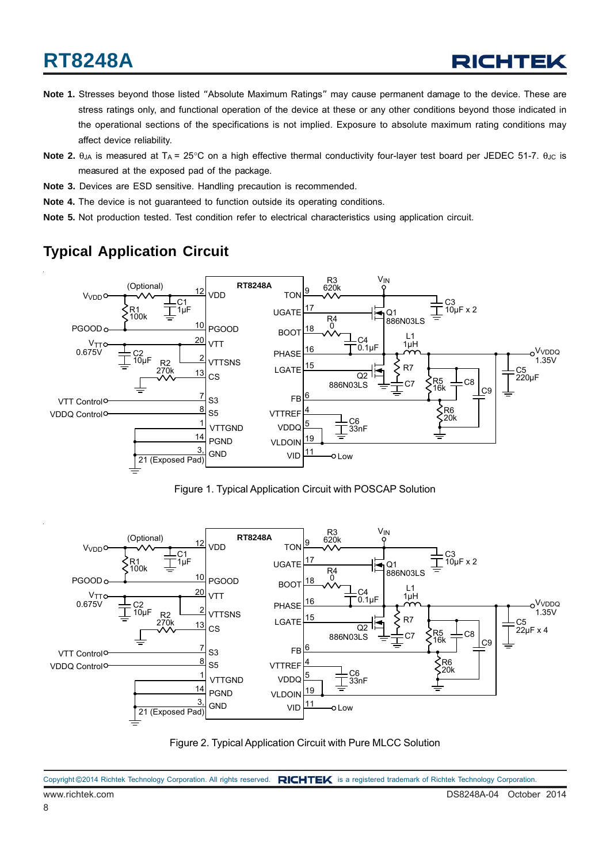- **Note 1.** Stresses beyond those listed "Absolute Maximum Ratings" may cause permanent damage to the device. These are stress ratings only, and functional operation of the device at these or any other conditions beyond those indicated in the operational sections of the specifications is not implied. Exposure to absolute maximum rating conditions may affect device reliability.
- **Note 2.** θ<sub>JA</sub> is measured at T<sub>A</sub> = 25°C on a high effective thermal conductivity four-layer test board per JEDEC 51-7. θ<sub>JC</sub> is measured at the exposed pad of the package.
- **Note 3.** Devices are ESD sensitive. Handling precaution is recommended.
- **Note 4.** The device is not guaranteed to function outside its operating conditions.
- **Note 5.** Not production tested. Test condition refer to electrical characteristics using application circuit.

### **Typical Application Circuit**



Figure 1. Typical Application Circuit with POSCAP Solution



Figure 2. Typical Application Circuit with Pure MLCC Solution

|                 | Copyright ©2014 Richtek Technology Corporation. All rights reserved. RICHTEK is a registered trademark of Richtek Technology Corporation. |
|-----------------|-------------------------------------------------------------------------------------------------------------------------------------------|
| www.richtek.com | DS8248A-04 October 2014                                                                                                                   |
|                 |                                                                                                                                           |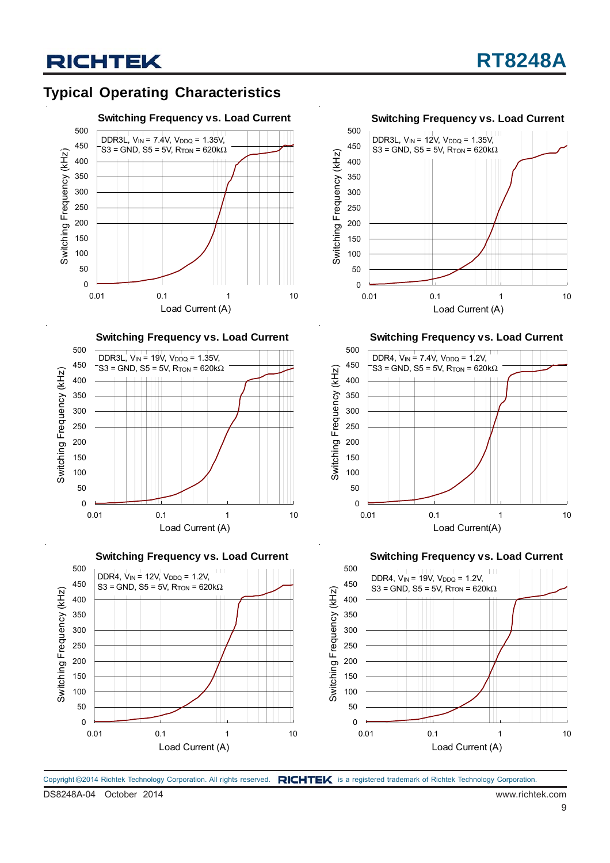### **Typical Operating Characteristics**



**Switching Frequency vs. Load Current**



**Switching Frequency vs. Load Current**





0.01 0.1 1 10 Load Current (A)

 $\Omega$  

**Switching Frequency vs. Load Current**



**Switching Frequency vs. Load Current**

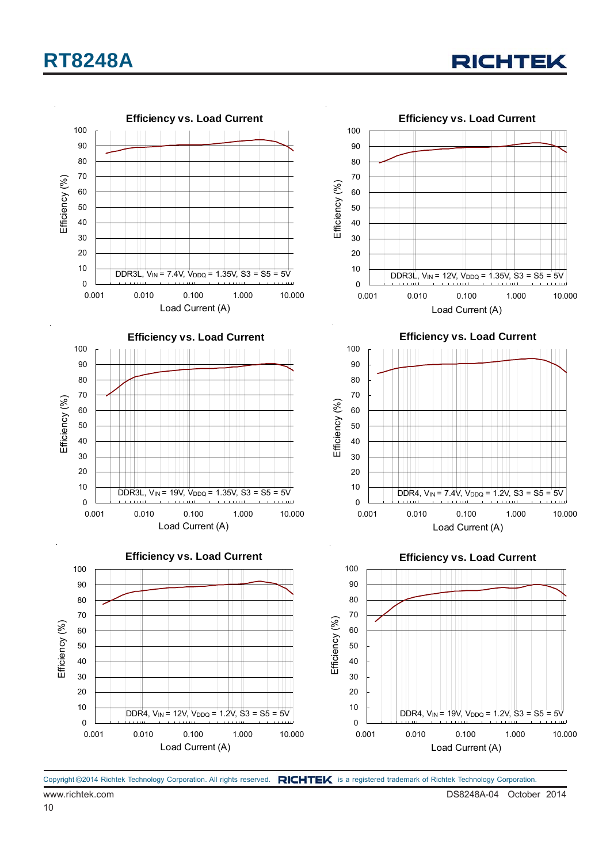

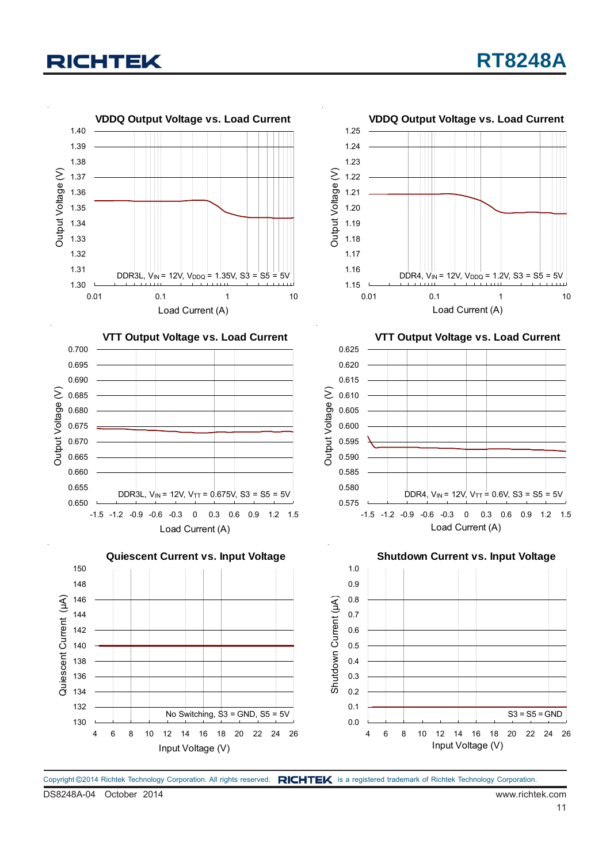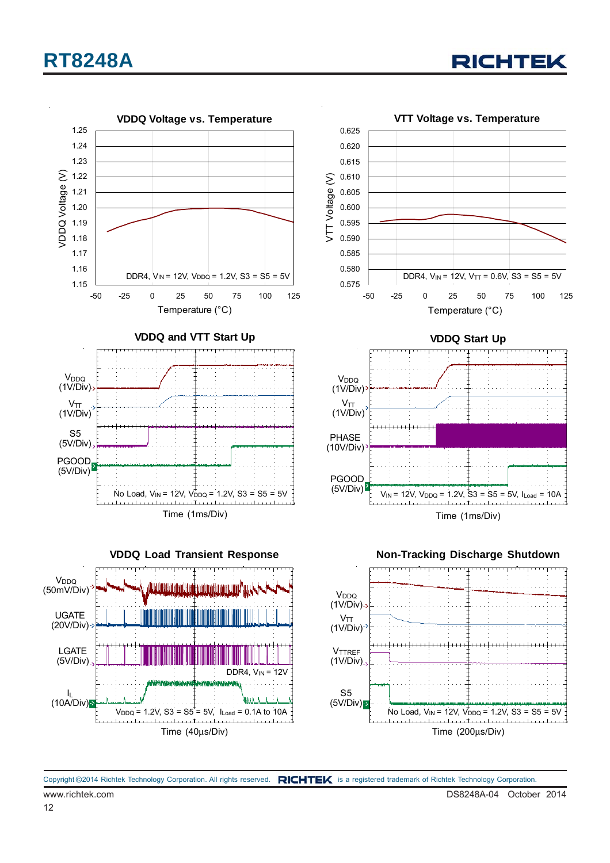

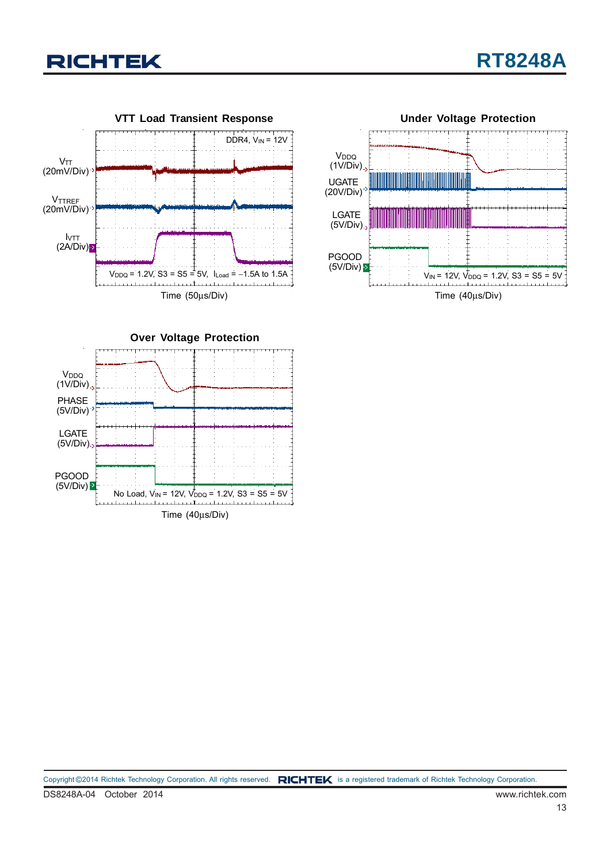![](_page_12_Picture_0.jpeg)

![](_page_12_Figure_2.jpeg)

![](_page_12_Figure_3.jpeg)

**Over Voltage Protection** Time (40μs/Div) PGOOD  $(5V/Div)$ PHASE (5V/Div) V<sub>DDQ</sub> (1V/Div) LGATE (5V/Div) No Load,  $V_{\text{IN}} = 12V, V_{\text{DDQ}} = 1.2V, S3 = S5 = 5V$ 

DS8248A-04 October 2014 www.richtek.com Copyright ©2014 Richtek Technology Corporation. All rights reserved. RICHTEK is a registered trademark of Richtek Technology Corporation.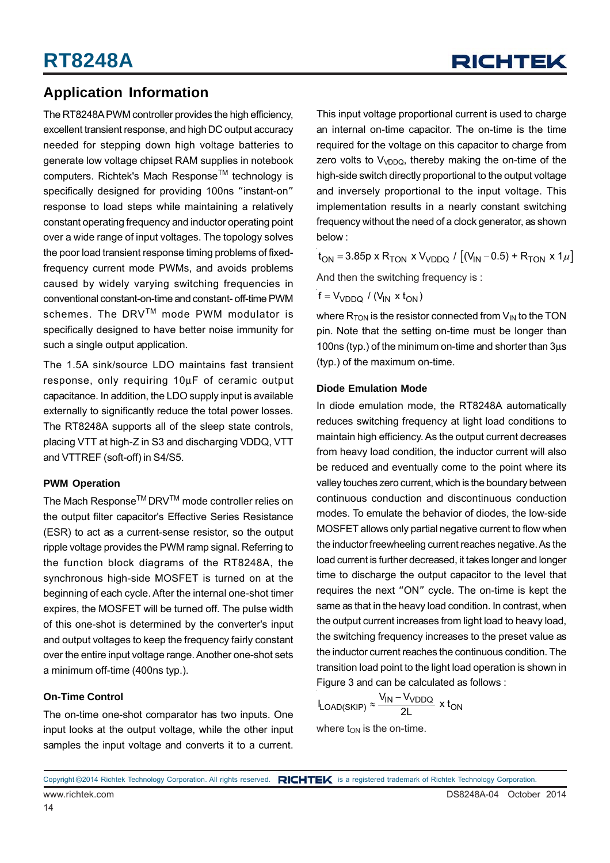### **Application Information**

The RT8248A PWM controller provides the high efficiency, excellent transient response, and high DC output accuracy needed for stepping down high voltage batteries to generate low voltage chipset RAM supplies in notebook computers. Richtek's Mach Response™ technology is specifically designed for providing 100ns "instant-on" response to load steps while maintaining a relatively constant operating frequency and inductor operating point over a wide range of input voltages. The topology solves the poor load transient response timing problems of fixedfrequency current mode PWMs, and avoids problems caused by widely varying switching frequencies in conventional constant-on-time and constant- off-time PWM schemes. The DRV™ mode PWM modulator is specifically designed to have better noise immunity for such a single output application.

The 1.5A sink/source LDO maintains fast transient response, only requiring 10μF of ceramic output capacitance. In addition, the LDO supply input is available externally to significantly reduce the total power losses. The RT8248A supports all of the sleep state controls, placing VTT at high-Z in S3 and discharging VDDQ, VTT and VTTREF (soft-off) in S4/S5.

#### **PWM Operation**

The Mach Response<sup>TM</sup> DRV<sup>TM</sup> mode controller relies on the output filter capacitor's Effective Series Resistance (ESR) to act as a current-sense resistor, so the output ripple voltage provides the PWM ramp signal. Referring to the function block diagrams of the RT8248A, the synchronous high-side MOSFET is turned on at the beginning of each cycle. After the internal one-shot timer expires, the MOSFET will be turned off. The pulse width of this one-shot is determined by the converter's input and output voltages to keep the frequency fairly constant over the entire input voltage range. Another one-shot sets a minimum off-time (400ns typ.).

#### **On-Time Control**

The on-time one-shot comparator has two inputs. One input looks at the output voltage, while the other input samples the input voltage and converts it to a current.

This input voltage proportional current is used to charge an internal on-time capacitor. The on-time is the time required for the voltage on this capacitor to charge from zero volts to  $V_{\text{VDDO}}$ , thereby making the on-time of the high-side switch directly proportional to the output voltage and inversely proportional to the input voltage. This implementation results in a nearly constant switching frequency without the need of a clock generator, as shown below :

 $t_{ON} = 3.85p \times R_{TON} \times V_{VDDQ} / [(V_{IN} - 0.5) + R_{TON} \times 1 \mu]$ 

And then the switching frequency is :

 $f = V_{VDDO} / (V_{IN} \times t_{ON})$ 

where  $R_{TON}$  is the resistor connected from  $V_{IN}$  to the TON pin. Note that the setting on-time must be longer than 100ns (typ.) of the minimum on-time and shorter than 3μs (typ.) of the maximum on-time.

#### **Diode Emulation Mode**

In diode emulation mode, the RT8248A automatically reduces switching frequency at light load conditions to maintain high efficiency. As the output current decreases from heavy load condition, the inductor current will also be reduced and eventually come to the point where its valley touches zero current, which is the boundary between continuous conduction and discontinuous conduction modes. To emulate the behavior of diodes, the low-side MOSFET allows only partial negative current to flow when the inductor freewheeling current reaches negative. As the load current is further decreased, it takes longer and longer time to discharge the output capacitor to the level that requires the next "ON" cycle. The on-time is kept the same as that in the heavy load condition. In contrast, when the output current increases from light load to heavy load, the switching frequency increases to the preset value as the inductor current reaches the continuous condition. The transition load point to the light load operation is shown in Figure 3 and can be calculated as follows :

$$
I_{\text{LOAD(SKIP)}} \approx \frac{V_{\text{IN}} - V_{\text{VDDQ}}}{2L} \times t_{\text{ON}}
$$

where  $t_{ON}$  is the on-time.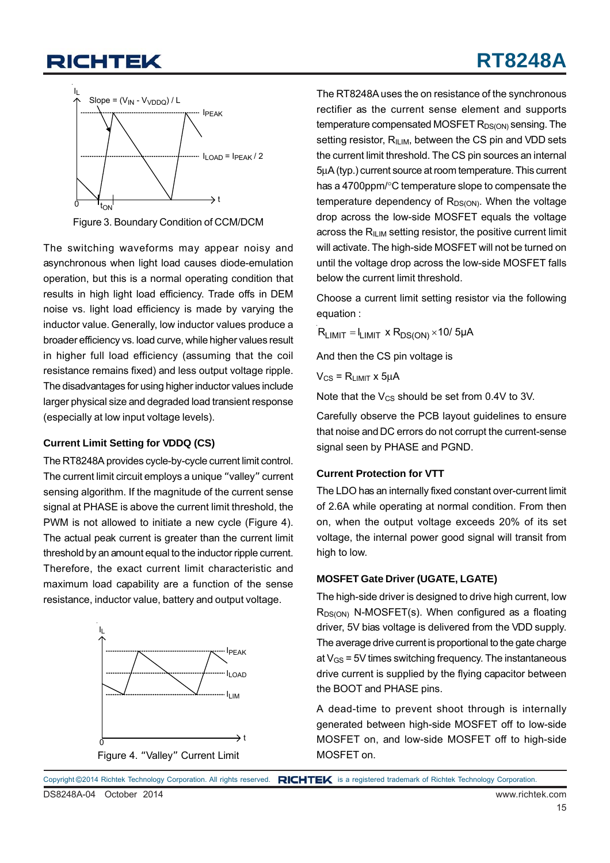## **RT8248A**

![](_page_14_Figure_2.jpeg)

Figure 3. Boundary Condition of CCM/DCM

The switching waveforms may appear noisy and asynchronous when light load causes diode-emulation operation, but this is a normal operating condition that results in high light load efficiency. Trade offs in DEM noise vs. light load efficiency is made by varying the inductor value. Generally, low inductor values produce a broader efficiency vs. load curve, while higher values result in higher full load efficiency (assuming that the coil resistance remains fixed) and less output voltage ripple. The disadvantages for using higher inductor values include larger physical size and degraded load transient response (especially at low input voltage levels).

#### **Current Limit Setting for VDDQ (CS)**

The RT8248A provides cycle-by-cycle current limit control. The current limit circuit employs a unique "valley" current sensing algorithm. If the magnitude of the current sense signal at PHASE is above the current limit threshold, the PWM is not allowed to initiate a new cycle (Figure 4). The actual peak current is greater than the current limit threshold by an amount equal to the inductor ripple current. Therefore, the exact current limit characteristic and maximum load capability are a function of the sense resistance, inductor value, battery and output voltage.

![](_page_14_Figure_7.jpeg)

The RT8248A uses the on resistance of the synchronous rectifier as the current sense element and supports temperature compensated MOSFET  $R_{DS(ON)}$  sensing. The setting resistor,  $R_{ILIM}$ , between the CS pin and VDD sets the current limit threshold. The CS pin sources an internal 5μA (typ.) current source at room temperature. This current has a 4700ppm/°C temperature slope to compensate the temperature dependency of  $R_{DS(ON)}$ . When the voltage drop across the low-side MOSFET equals the voltage across the  $R_{\text{ILM}}$  setting resistor, the positive current limit will activate. The high-side MOSFET will not be turned on until the voltage drop across the low-side MOSFET falls below the current limit threshold.

Choose a current limit setting resistor via the following equation :

 $R_{LIMIT} = I_{LIMIT} \times R_{DS(ON)} \times 10/5 \mu A$ 

And then the CS pin voltage is

 $V_{CS}$  =  $R_{LIMIT}$  x  $5uA$ 

Note that the  $V_{CS}$  should be set from 0.4V to 3V.

Carefully observe the PCB layout guidelines to ensure that noise and DC errors do not corrupt the current-sense signal seen by PHASE and PGND.

#### **Current Protection for VTT**

The LDO has an internally fixed constant over-current limit of 2.6A while operating at normal condition. From then on, when the output voltage exceeds 20% of its set voltage, the internal power good signal will transit from high to low.

#### **MOSFET Gate Driver (UGATE, LGATE)**

The high-side driver is designed to drive high current, low  $R_{DS(ON)}$  N-MOSFET(s). When configured as a floating driver, 5V bias voltage is delivered from the VDD supply. The average drive current is proportional to the gate charge at  $V_{\text{GS}}$  = 5V times switching frequency. The instantaneous drive current is supplied by the flying capacitor between the BOOT and PHASE pins.

A dead-time to prevent shoot through is internally generated between high-side MOSFET off to low-side MOSFET on, and low-side MOSFET off to high-side MOSFET on.

![](_page_14_Figure_20.jpeg)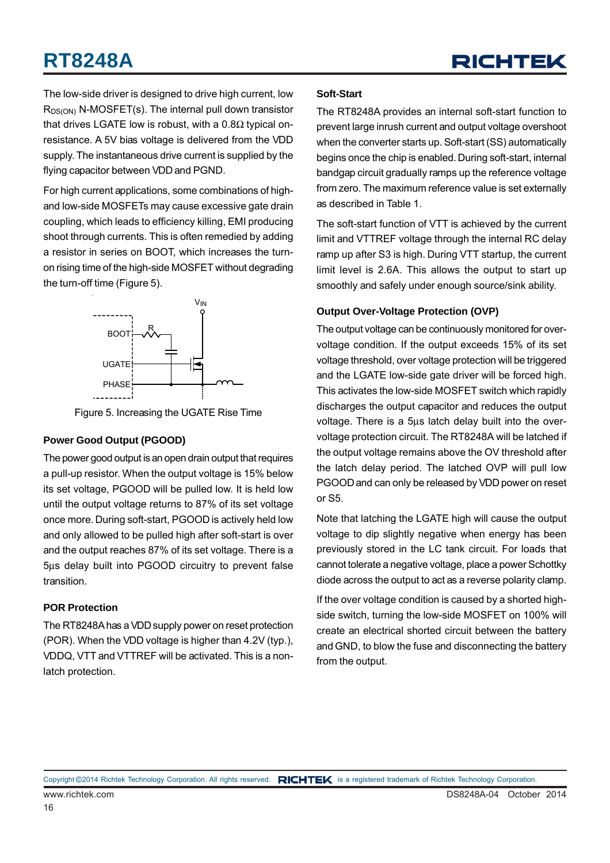The low-side driver is designed to drive high current, low  $R_{DS(ON)}$  N-MOSFET(s). The internal pull down transistor that drives LGATE low is robust, with a  $0.8Ω$  typical onresistance. A 5V bias voltage is delivered from the VDD supply. The instantaneous drive current is supplied by the flying capacitor between VDD and PGND.

For high current applications, some combinations of highand low-side MOSFETs may cause excessive gate drain coupling, which leads to efficiency killing, EMI producing shoot through currents. This is often remedied by adding a resistor in series on BOOT, which increases the turnon rising time of the high-side MOSFET without degrading the turn-off time (Figure 5).

![](_page_15_Figure_4.jpeg)

Figure 5. Increasing the UGATE Rise Time

#### **Power Good Output (PGOOD)**

The power good output is an open drain output that requires a pull-up resistor. When the output voltage is 15% below its set voltage, PGOOD will be pulled low. It is held low until the output voltage returns to 87% of its set voltage once more. During soft-start, PGOOD is actively held low and only allowed to be pulled high after soft-start is over and the output reaches 87% of its set voltage. There is a 5μs delay built into PGOOD circuitry to prevent false transition.

#### **POR Protection**

The RT8248A has a VDD supply power on reset protection (POR). When the VDD voltage is higher than 4.2V (typ.), VDDQ, VTT and VTTREF will be activated. This is a nonlatch protection.

#### **Soft-Start**

The RT8248A provides an internal soft-start function to prevent large inrush current and output voltage overshoot when the converter starts up. Soft-start (SS) automatically begins once the chip is enabled. During soft-start, internal bandgap circuit gradually ramps up the reference voltage from zero. The maximum reference value is set externally as described in Table 1.

The soft-start function of VTT is achieved by the current limit and VTTREF voltage through the internal RC delay ramp up after S3 is high. During VTT startup, the current limit level is 2.6A. This allows the output to start up smoothly and safely under enough source/sink ability.

#### **Output Over-Voltage Protection (OVP)**

The output voltage can be continuously monitored for overvoltage condition. If the output exceeds 15% of its set voltage threshold, over voltage protection will be triggered and the LGATE low-side gate driver will be forced high. This activates the low-side MOSFET switch which rapidly discharges the output capacitor and reduces the output voltage. There is a 5μs latch delay built into the overvoltage protection circuit. The RT8248A will be latched if the output voltage remains above the OV threshold after the latch delay period. The latched OVP will pull low PGOOD and can only be released by VDD power on reset or S5.

Note that latching the LGATE high will cause the output voltage to dip slightly negative when energy has been previously stored in the LC tank circuit. For loads that cannot tolerate a negative voltage, place a power Schottky diode across the output to act as a reverse polarity clamp.

If the over voltage condition is caused by a shorted highside switch, turning the low-side MOSFET on 100% will create an electrical shorted circuit between the battery and GND, to blow the fuse and disconnecting the battery from the output.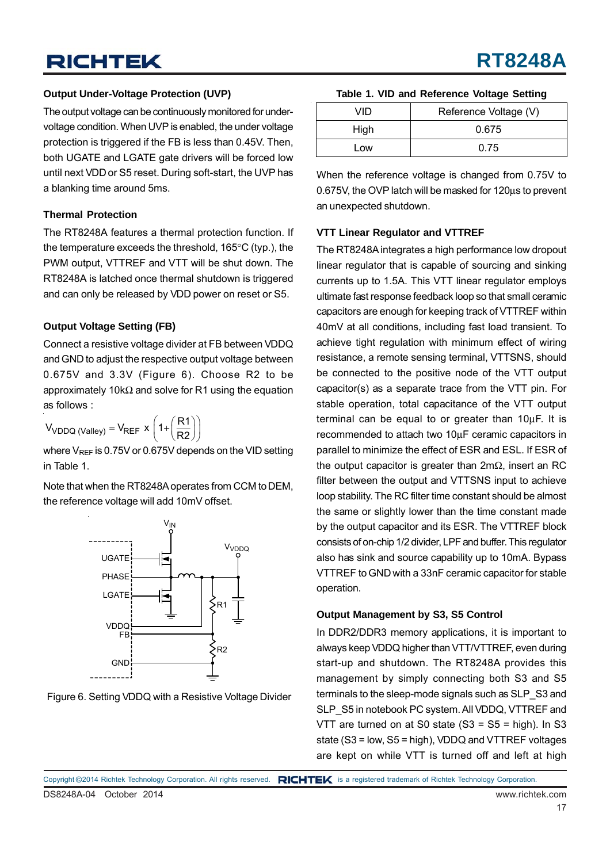### **Output Under-Voltage Protection (UVP)**

The output voltage can be continuously monitored for undervoltage condition. When UVP is enabled, the under voltage protection is triggered if the FB is less than 0.45V. Then, both UGATE and LGATE gate drivers will be forced low until next VDD or S5 reset. During soft-start, the UVP has a blanking time around 5ms.

#### **Thermal Protection**

The RT8248A features a thermal protection function. If the temperature exceeds the threshold, 165°C (typ.), the PWM output, VTTREF and VTT will be shut down. The RT8248A is latched once thermal shutdown is triggered and can only be released by VDD power on reset or S5.

#### **Output Voltage Setting (FB)**

Connect a resistive voltage divider at FB between VDDQ and GND to adjust the respective output voltage between 0.675V and 3.3V (Figure 6). Choose R2 to be approximately 10kΩ and solve for R1 using the equation as follows :

 $V_{\text{VDDQ (Valley)}} = V_{\text{REF}} \times \left(1 + \left(\frac{R1}{R2}\right)\right)$ 

where V<sub>REF</sub> is 0.75V or 0.675V depends on the VID setting in Table 1.

Note that when the RT8248A operates from CCM to DEM, the reference voltage will add 10mV offset.

![](_page_16_Figure_10.jpeg)

![](_page_16_Figure_11.jpeg)

**Table 1. VID and Reference Voltage Setting**

**RT8248A**

| VID  | Reference Voltage (V) |  |
|------|-----------------------|--|
| High | 0.675                 |  |
| Low  | 0.75                  |  |

When the reference voltage is changed from 0.75V to 0.675V, the OVP latch will be masked for 120μs to prevent an unexpected shutdown.

#### **VTT Linear Regulator and VTTREF**

The RT8248A integrates a high performance low dropout linear regulator that is capable of sourcing and sinking currents up to 1.5A. This VTT linear regulator employs ultimate fast response feedback loop so that small ceramic capacitors are enough for keeping track of VTTREF within 40mV at all conditions, including fast load transient. To achieve tight regulation with minimum effect of wiring resistance, a remote sensing terminal, VTTSNS, should be connected to the positive node of the VTT output capacitor(s) as a separate trace from the VTT pin. For stable operation, total capacitance of the VTT output terminal can be equal to or greater than 10μF. It is recommended to attach two 10μF ceramic capacitors in parallel to minimize the effect of ESR and ESL. If ESR of the output capacitor is greater than 2mΩ, insert an RC filter between the output and VTTSNS input to achieve loop stability. The RC filter time constant should be almost the same or slightly lower than the time constant made by the output capacitor and its ESR. The VTTREF block consists of on-chip 1/2 divider, LPF and buffer. This regulator also has sink and source capability up to 10mA. Bypass VTTREF to GND with a 33nF ceramic capacitor for stable operation.

#### **Output Management by S3, S5 Control**

In DDR2/DDR3 memory applications, it is important to always keep VDDQ higher than VTT/VTTREF, even during start-up and shutdown. The RT8248A provides this management by simply connecting both S3 and S5 terminals to the sleep-mode signals such as SLP\_S3 and SLP\_S5 in notebook PC system. All VDDQ, VTTREF and VTT are turned on at S0 state  $(S3 = S5 = high)$ . In S3 state (S3 = low, S5 = high), VDDQ and VTTREF voltages are kept on while VTT is turned off and left at high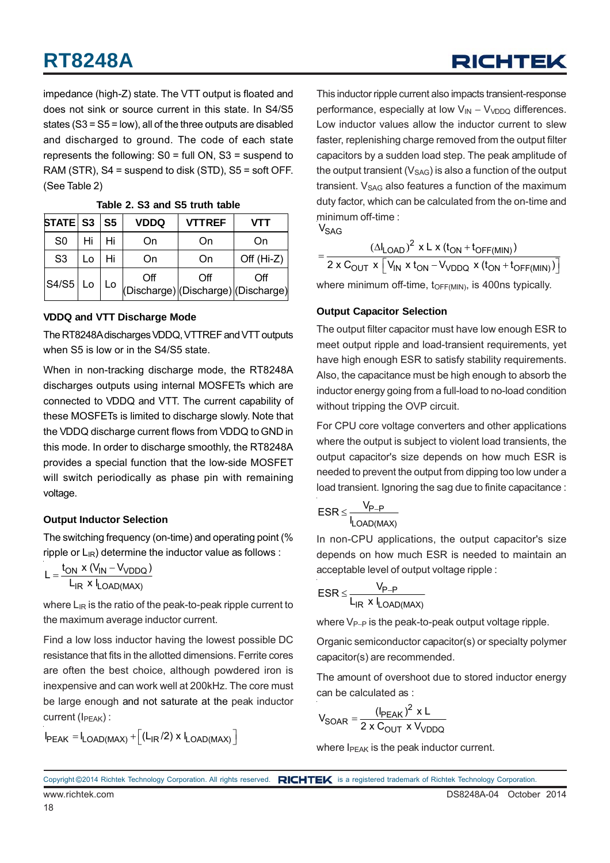impedance (high-Z) state. The VTT output is floated and does not sink or source current in this state. In S4/S5 states (S3 = S5 = low), all of the three outputs are disabled and discharged to ground. The code of each state represents the following: S0 = full ON, S3 = suspend to RAM (STR), S4 = suspend to disk (STD), S5 = soft OFF. (See Table 2)

| $STATE$ S3 $\vert$ S5 |    |      | <b>VDDQ</b> | <b>VTTREF</b>                              | <b>VTT</b>   |
|-----------------------|----|------|-------------|--------------------------------------------|--------------|
| S <sub>0</sub>        | Hi | Hi   | On          | On                                         | On           |
| S <sub>3</sub>        | Lo | Hi   | On          | On                                         | Off $(Hi-Z)$ |
| $ S4/S5 $ Lo          |    | . Lo | Off         | Off<br>(Discharge) (Discharge) (Discharge) | Off          |

#### **Table 2. S3 and S5 truth table**

#### **VDDQ and VTT Discharge Mode**

The RT8248A discharges VDDQ, VTTREF and VTT outputs when S5 is low or in the S4/S5 state.

When in non-tracking discharge mode, the RT8248A discharges outputs using internal MOSFETs which are connected to VDDQ and VTT. The current capability of these MOSFETs is limited to discharge slowly. Note that the VDDQ discharge current flows from VDDQ to GND in this mode. In order to discharge smoothly, the RT8248A provides a special function that the low-side MOSFET will switch periodically as phase pin with remaining voltage.

#### **Output Inductor Selection**

The switching frequency (on-time) and operating point (% ripple or  $L_{IR}$ ) determine the inductor value as follows :

$$
L = \frac{t_{ON} \times (V_{IN} - V_{VDDQ})}{L_{IR} \times I_{LOAD(MAX)}}
$$

where  $L_{IR}$  is the ratio of the peak-to-peak ripple current to the maximum average inductor current.

Find a low loss inductor having the lowest possible DC resistance that fits in the allotted dimensions. Ferrite cores are often the best choice, although powdered iron is inexpensive and can work well at 200kHz. The core must be large enough and not saturate at the peak inductor current (I<sub>PEAK</sub>) :

$$
I_{PEAK} = I_{LOAD(MAX)} + \left[ (L_{IR}/2) \times I_{LOAD(MAX)} \right]
$$

This inductor ripple current also impacts transient-response performance, especially at low  $V_{IN} - V_{VDDO}$  differences. Low inductor values allow the inductor current to slew faster, replenishing charge removed from the output filter capacitors by a sudden load step. The peak amplitude of the output transient  $(V<sub>SAG</sub>)$  is also a function of the output transient.  $V_{SAG}$  also features a function of the maximum duty factor, which can be calculated from the on-time and minimum off-time :

 $\mathsf{V}_{\mathsf{SAG}}$ 

 $(\Delta I_{\text{LOAD}})^2$  x L x ( $t_{\text{ON}}$  +  $t_{\text{OFF(MIN)}}$ OUT  $X \mid V$ IN  $X \mid$ ON  $-V$ VDDQ  $X \mid$ UON  $+$  LOFF(MIN)  $I_{1 \text{ OAD}}^2$  x L x ( $t_{\text{ON}}$  +  $t_{\text{OFF(MIN)}}$ )  $=\frac{(\Delta I_{\text{LOAD}})^2 \times L \times (t_{\text{ON}} + t_{\text{OFF(MIN)}})}{2 \times C_{\text{OUT}} \times [\text{V}_{\text{IN}} \times t_{\text{ON}} - \text{V}_{\text{VDDQ}} \times (t_{\text{ON}} + t_{\text{OFF(MIN)}})]}$ where minimum off-time,  $t_{\text{OFF(MIN)}}$ , is 400ns typically.

#### **Output Capacitor Selection**

The output filter capacitor must have low enough ESR to meet output ripple and load-transient requirements, yet have high enough ESR to satisfy stability requirements. Also, the capacitance must be high enough to absorb the inductor energy going from a full-load to no-load condition without tripping the OVP circuit.

For CPU core voltage converters and other applications where the output is subject to violent load transients, the output capacitor's size depends on how much ESR is needed to prevent the output from dipping too low under a load transient. Ignoring the sag due to finite capacitance :

$$
ESR \leq \frac{V_{P-P}}{I_{LOAD(MAX)}}
$$

In non-CPU applications, the output capacitor's size depends on how much ESR is needed to maintain an acceptable level of output voltage ripple :

$$
ESR \leq \frac{V_{P-P}}{L_{IR} \times I_{LOAD(MAX)}}
$$

where V<sub>P−P</sub> is the peak-to-peak output voltage ripple.

Organic semiconductor capacitor(s) or specialty polymer capacitor(s) are recommended.

The amount of overshoot due to stored inductor energy can be calculated as :

$$
V_{\text{SOAR}} = \frac{(\text{I}_{\text{PEAK}})^2 \times L}{2 \times C_{\text{OUT}} \times V_{\text{VDDQ}}}
$$

where  $I_{\text{PFAK}}$  is the peak inductor current.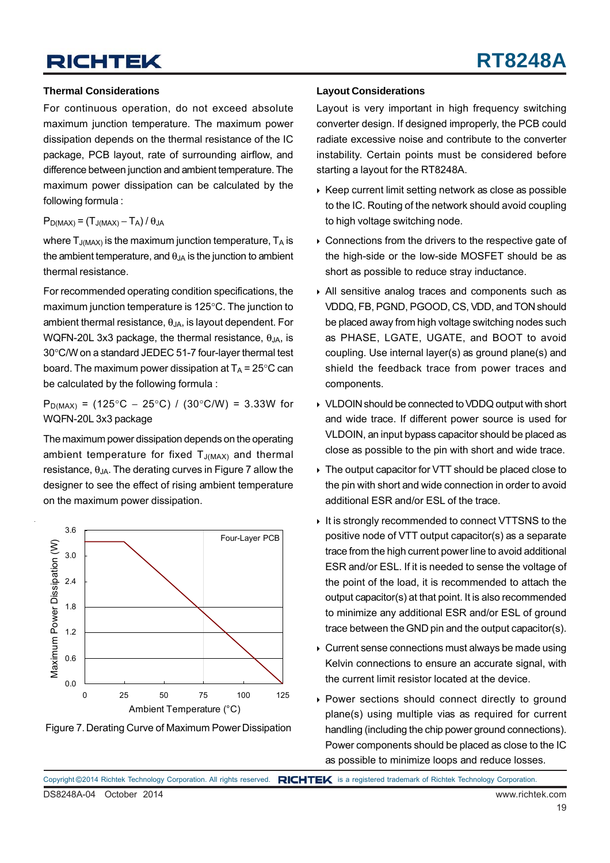#### **Thermal Considerations**

For continuous operation, do not exceed absolute maximum junction temperature. The maximum power dissipation depends on the thermal resistance of the IC package, PCB layout, rate of surrounding airflow, and difference between junction and ambient temperature. The maximum power dissipation can be calculated by the following formula :

#### $P_{D(MAX)} = (T_{J(MAX)} - T_A) / \theta_{JA}$

where  $T_{J(MAX)}$  is the maximum junction temperature,  $T_A$  is the ambient temperature, and  $\theta_{JA}$  is the junction to ambient thermal resistance.

For recommended operating condition specifications, the maximum junction temperature is 125°C. The junction to ambient thermal resistance,  $\theta_{JA}$ , is layout dependent. For WQFN-20L 3x3 package, the thermal resistance,  $\theta_{JA}$ , is 30°C/W on a standard JEDEC 51-7 four-layer thermal test board. The maximum power dissipation at  $T_A = 25^{\circ}$ C can be calculated by the following formula :

P<sub>D(MAX)</sub> = (125°C – 25°C) / (30°C/W) = 3.33W for WQFN-20L 3x3 package

The maximum power dissipation depends on the operating ambient temperature for fixed  $T_{J(MAX)}$  and thermal resistance,  $\theta_{JA}$ . The derating curves in Figure 7 allow the designer to see the effect of rising ambient temperature on the maximum power dissipation.

![](_page_18_Figure_9.jpeg)

Figure 7. Derating Curve of Maximum Power Dissipation

#### **Layout Considerations**

Layout is very important in high frequency switching converter design. If designed improperly, the PCB could radiate excessive noise and contribute to the converter instability. Certain points must be considered before starting a layout for the RT8248A.

- $\triangleright$  Keep current limit setting network as close as possible to the IC. Routing of the network should avoid coupling to high voltage switching node.
- Connections from the drivers to the respective gate of the high-side or the low-side MOSFET should be as short as possible to reduce stray inductance.
- All sensitive analog traces and components such as VDDQ, FB, PGND, PGOOD, CS, VDD, and TON should be placed away from high voltage switching nodes such as PHASE, LGATE, UGATE, and BOOT to avoid coupling. Use internal layer(s) as ground plane(s) and shield the feedback trace from power traces and components.
- VLDOIN should be connected to VDDQ output with short and wide trace. If different power source is used for VLDOIN, an input bypass capacitor should be placed as close as possible to the pin with short and wide trace.
- The output capacitor for VTT should be placed close to the pin with short and wide connection in order to avoid additional ESR and/or ESL of the trace.
- It is strongly recommended to connect VTTSNS to the positive node of VTT output capacitor(s) as a separate trace from the high current power line to avoid additional ESR and/or ESL. If it is needed to sense the voltage of the point of the load, it is recommended to attach the output capacitor(s) at that point. It is also recommended to minimize any additional ESR and/or ESL of ground trace between the GND pin and the output capacitor(s).
- Current sense connections must always be made using Kelvin connections to ensure an accurate signal, with the current limit resistor located at the device.
- Power sections should connect directly to ground plane(s) using multiple vias as required for current handling (including the chip power ground connections). Power components should be placed as close to the IC as possible to minimize loops and reduce losses.

DS8248A-04 October 2014 www.richtek.com Copyright ©2014 Richtek Technology Corporation. All rights reserved. RICHTEK is a registered trademark of Richtek Technology Corporation.